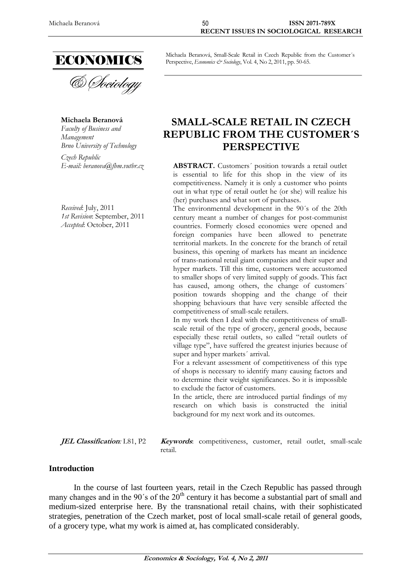

**Michaela Beranová**

*Faculty of Business and Management Brno University of Technology*

*Czech Republic*

*Received*: July, 2011 *1st Revision*: September, 2011 *Accepted*: October, 2011

Michaela Beranová, Small-Scale Retail in Czech Republic from the Customer´s Perspective, *Economics & Sociology*, Vol. 4, No 2, 2011, pp. 50-65.

# **SMALL-SCALE RETAIL IN CZECH REPUBLIC FROM THE CUSTOMER´S PERSPECTIVE**

*E-mail: [beranova@fbm.vutbr.cz](mailto:beranova@fbm.vutbr.cz)* **ABSTRACT.** Customers´ position towards a retail outlet is essential to life for this shop in the view of its competitiveness. Namely it is only a customer who points out in what type of retail outlet he (or she) will realize his (her) purchases and what sort of purchases.

The environmental development in the 90´s of the 20th century meant a number of changes for post-communist countries. Formerly closed economies were opened and foreign companies have been allowed to penetrate territorial markets. In the concrete for the branch of retail business, this opening of markets has meant an incidence of trans-national retail giant companies and their super and hyper markets. Till this time, customers were accustomed to smaller shops of very limited supply of goods. This fact has caused, among others, the change of customers' position towards shopping and the change of their shopping behaviours that have very sensible affected the competitiveness of small-scale retailers.

In my work then I deal with the competitiveness of smallscale retail of the type of grocery, general goods, because especially these retail outlets, so called "retail outlets of village type", have suffered the greatest injuries because of super and hyper markets' arrival.

For a relevant assessment of competitiveness of this type of shops is necessary to identify many causing factors and to determine their weight significances. So it is impossible to exclude the factor of customers.

In the article, there are introduced partial findings of my research on which basis is constructed the initial background for my next work and its outcomes.

**JEL Classification***:* L81, P2 **Keywords**: competitiveness, customer, retail outlet, small-scale retail.

## **Introduction**

In the course of last fourteen years, retail in the Czech Republic has passed through many changes and in the 90's of the 20<sup>th</sup> century it has become a substantial part of small and medium-sized enterprise here. By the transnational retail chains, with their sophisticated strategies, penetration of the Czech market, post of local small-scale retail of general goods, of a grocery type, what my work is aimed at, has complicated considerably.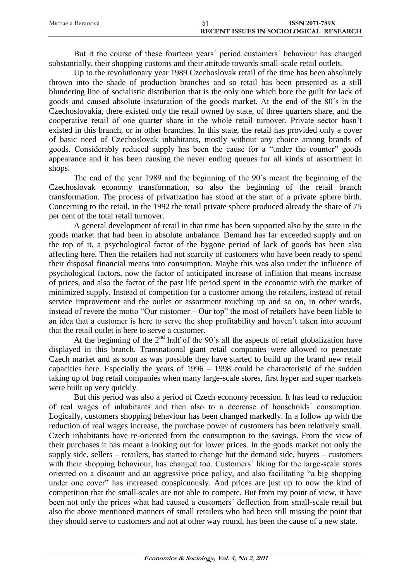| Michaela Beranová | <b>ISSN 2071-789X</b>                  |
|-------------------|----------------------------------------|
|                   | RECENT ISSUES IN SOCIOLOGICAL RESEARCH |

But it the course of these fourteen years´ period customers´ behaviour has changed substantially, their shopping customs and their attitude towards small-scale retail outlets.

Up to the revolutionary year 1989 Czechoslovak retail of the time has been absolutely thrown into the shade of production branches and so retail has been presented as a still blundering line of socialistic distribution that is the only one which bore the guilt for lack of goods and caused absolute insaturation of the goods market. At the end of the 80´s in the Czechoslovakia, there existed only the retail owned by state, of three quarters share, and the cooperative retail of one quarter share in the whole retail turnover. Private sector hasn't existed in this branch, or in other branches. In this state, the retail has provided only a cover of basic need of Czechoslovak inhabitants, mostly without any choice among brands of goods. Considerably reduced supply has been the cause for a "under the counter" goods appearance and it has been causing the never ending queues for all kinds of assortment in shops.

The end of the year 1989 and the beginning of the 90´s meant the beginning of the Czechoslovak economy transformation, so also the beginning of the retail branch transformation. The process of privatization has stood at the start of a private sphere birth. Concerning to the retail, in the 1992 the retail private sphere produced already the share of 75 per cent of the total retail turnover.

A general development of retail in that time has been supported also by the state in the goods market that had been in absolute unbalance. Demand has far exceeded supply and on the top of it, a psychological factor of the bygone period of lack of goods has been also affecting here. Then the retailers had not scarcity of customers who have been ready to spend their disposal financial means into consumption. Maybe this was also under the influence of psychological factors, now the factor of anticipated increase of inflation that means increase of prices, and also the factor of the past life period spent in the economic with the market of minimized supply. Instead of competition for a customer among the retailers, instead of retail service improvement and the outlet or assortment touching up and so on, in other words, instead of revere the motto "Our customer – Our top" the most of retailers have been liable to an idea that a customer is here to serve the shop profitability and haven't taken into account that the retail outlet is here to serve a customer.

At the beginning of the  $2<sup>nd</sup>$  half of the 90's all the aspects of retail globalization have displayed in this branch. Transnational giant retail companies were allowed to penetrate Czech market and as soon as was possible they have started to build up the brand new retail capacities here. Especially the years of 1996 – 1998 could be characteristic of the sudden taking up of bug retail companies when many large-scale stores, first hyper and super markets were built up very quickly.

But this period was also a period of Czech economy recession. It has lead to reduction of real wages of inhabitants and then also to a decrease of households´ consumption. Logically, customers shopping behaviour has been changed markedly. In a follow up with the reduction of real wages increase, the purchase power of customers has been relatively small. Czech inhabitants have re-oriented from the consumption to the savings. From the view of their purchases it has meant a looking out for lower prices. In the goods market not only the supply side, sellers – retailers, has started to change but the demand side, buyers – customers with their shopping behaviour, has changed too. Customers' liking for the large-scale stores oriented on a discount and an aggressive price policy, and also facilitating "a big shopping under one cover" has increased conspicuously. And prices are just up to now the kind of competition that the small-scales are not able to compete. But from my point of view, it have been not only the prices what had caused a customers´ deflection from small-scale retail but also the above mentioned manners of small retailers who had been still missing the point that they should serve to customers and not at other way round, has been the cause of a new state.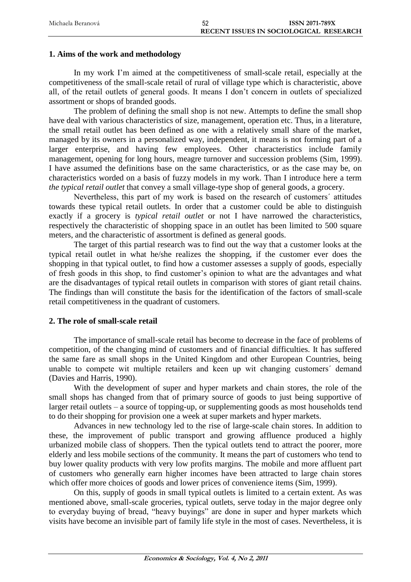| Michaela Beranová | <b>ISSN 2071-789X</b>                  |
|-------------------|----------------------------------------|
|                   | RECENT ISSUES IN SOCIOLOGICAL RESEARCH |

## **1. Aims of the work and methodology**

In my work I'm aimed at the competitiveness of small-scale retail, especially at the competitiveness of the small-scale retail of rural of village type which is characteristic, above all, of the retail outlets of general goods. It means I don't concern in outlets of specialized assortment or shops of branded goods.

The problem of defining the small shop is not new. Attempts to define the small shop have deal with various characteristics of size, management, operation etc. Thus, in a literature, the small retail outlet has been defined as one with a relatively small share of the market, managed by its owners in a personalized way, independent, it means is not forming part of a larger enterprise, and having few employees. Other characteristics include family management, opening for long hours, meagre turnover and succession problems (Sim, 1999). I have assumed the definitions base on the same characteristics, or as the case may be, on characteristics worded on a basis of fuzzy models in my work. Than I introduce here a term *the typical retail outlet* that convey a small village-type shop of general goods, a grocery.

Nevertheless, this part of my work is based on the research of customers´ attitudes towards these typical retail outlets. In order that a customer could be able to distinguish exactly if a grocery is *typical retail outlet* or not I have narrowed the characteristics, respectively the characteristic of shopping space in an outlet has been limited to 500 square meters, and the characteristic of assortment is defined as general goods.

The target of this partial research was to find out the way that a customer looks at the typical retail outlet in what he/she realizes the shopping, if the customer ever does the shopping in that typical outlet, to find how a customer assesses a supply of goods, especially of fresh goods in this shop, to find customer's opinion to what are the advantages and what are the disadvantages of typical retail outlets in comparison with stores of giant retail chains. The findings than will constitute the basis for the identification of the factors of small-scale retail competitiveness in the quadrant of customers.

## **2. The role of small-scale retail**

The importance of small-scale retail has become to decrease in the face of problems of competition, of the changing mind of customers and of financial difficulties. It has suffered the same fare as small shops in the United Kingdom and other European Countries, being unable to compete wit multiple retailers and keen up wit changing customers´ demand (Davies and Harris, 1990).

With the development of super and hyper markets and chain stores, the role of the small shops has changed from that of primary source of goods to just being supportive of larger retail outlets – a source of topping-up, or supplementing goods as most households tend to do their shopping for provision one a week at super markets and hyper markets.

Advances in new technology led to the rise of large-scale chain stores. In addition to these, the improvement of public transport and growing affluence produced a highly urbanized mobile class of shoppers. Then the typical outlets tend to attract the poorer, more elderly and less mobile sections of the community. It means the part of customers who tend to buy lower quality products with very low profits margins. The mobile and more affluent part of customers who generally earn higher incomes have been attracted to large chain stores which offer more choices of goods and lower prices of convenience items (Sim, 1999).

On this, supply of goods in small typical outlets is limited to a certain extent. As was mentioned above, small-scale groceries, typical outlets, serve today in the major degree only to everyday buying of bread, "heavy buyings" are done in super and hyper markets which visits have become an invisible part of family life style in the most of cases. Nevertheless, it is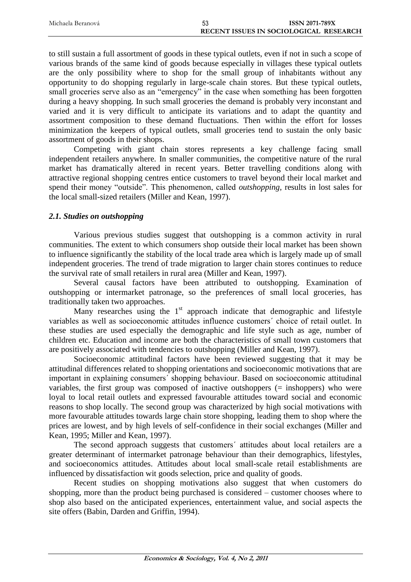| Michaela Beranová | 53 | <b>ISSN 2071-789X</b>                  |
|-------------------|----|----------------------------------------|
|                   |    | RECENT ISSUES IN SOCIOLOGICAL RESEARCH |

to still sustain a full assortment of goods in these typical outlets, even if not in such a scope of various brands of the same kind of goods because especially in villages these typical outlets are the only possibility where to shop for the small group of inhabitants without any opportunity to do shopping regularly in large-scale chain stores. But these typical outlets, small groceries serve also as an "emergency" in the case when something has been forgotten during a heavy shopping. In such small groceries the demand is probably very inconstant and varied and it is very difficult to anticipate its variations and to adapt the quantity and assortment composition to these demand fluctuations. Then within the effort for losses minimization the keepers of typical outlets, small groceries tend to sustain the only basic assortment of goods in their shops.

Competing with giant chain stores represents a key challenge facing small independent retailers anywhere. In smaller communities, the competitive nature of the rural market has dramatically altered in recent years. Better travelling conditions along with attractive regional shopping centres entice customers to travel beyond their local market and spend their money "outside". This phenomenon, called *outshopping*, results in lost sales for the local small-sized retailers (Miller and Kean, 1997).

# *2.1. Studies on outshopping*

Various previous studies suggest that outshopping is a common activity in rural communities. The extent to which consumers shop outside their local market has been shown to influence significantly the stability of the local trade area which is largely made up of small independent groceries. The trend of trade migration to larger chain stores continues to reduce the survival rate of small retailers in rural area (Miller and Kean, 1997).

Several causal factors have been attributed to outshopping. Examination of outshopping or intermarket patronage, so the preferences of small local groceries, has traditionally taken two approaches.

Many researches using the  $1<sup>st</sup>$  approach indicate that demographic and lifestyle variables as well as socioeconomic attitudes influence customers´ choice of retail outlet. In these studies are used especially the demographic and life style such as age, number of children etc. Education and income are both the characteristics of small town customers that are positively associated with tendencies to outshopping (Miller and Kean, 1997).

Socioeconomic attitudinal factors have been reviewed suggesting that it may be attitudinal differences related to shopping orientations and socioeconomic motivations that are important in explaining consumers´ shopping behaviour. Based on socioeconomic attitudinal variables, the first group was composed of inactive outshoppers (= inshoppers) who were loyal to local retail outlets and expressed favourable attitudes toward social and economic reasons to shop locally. The second group was characterized by high social motivations with more favourable attitudes towards large chain store shopping, leading them to shop where the prices are lowest, and by high levels of self-confidence in their social exchanges (Miller and Kean, 1995; Miller and Kean, 1997).

The second approach suggests that customers´ attitudes about local retailers are a greater determinant of intermarket patronage behaviour than their demographics, lifestyles, and socioeconomics attitudes. Attitudes about local small-scale retail establishments are influenced by dissatisfaction wit goods selection, price and quality of goods.

Recent studies on shopping motivations also suggest that when customers do shopping, more than the product being purchased is considered – customer chooses where to shop also based on the anticipated experiences, entertainment value, and social aspects the site offers (Babin, Darden and Griffin, 1994).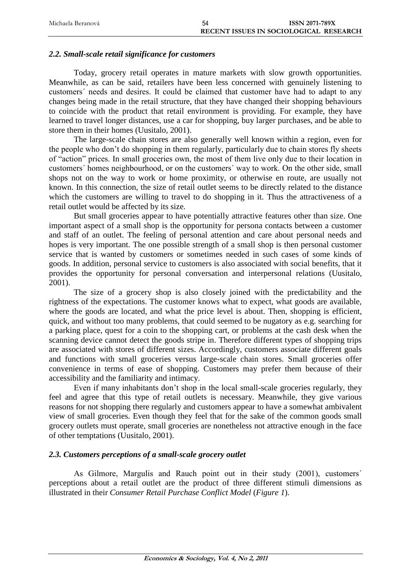| Michaela Beranová | 54                                     | <b>ISSN 2071-789X</b> |
|-------------------|----------------------------------------|-----------------------|
|                   | RECENT ISSUES IN SOCIOLOGICAL RESEARCH |                       |

## *2.2. Small-scale retail significance for customers*

Today, grocery retail operates in mature markets with slow growth opportunities. Meanwhile, as can be said, retailers have been less concerned with genuinely listening to customers´ needs and desires. It could be claimed that customer have had to adapt to any changes being made in the retail structure, that they have changed their shopping behaviours to coincide with the product that retail environment is providing. For example, they have learned to travel longer distances, use a car for shopping, buy larger purchases, and be able to store them in their homes (Uusitalo, 2001).

The large-scale chain stores are also generally well known within a region, even for the people who don't do shopping in them regularly, particularly due to chain stores fly sheets of "action" prices. In small groceries own, the most of them live only due to their location in customers´ homes neighbourhood, or on the customers´ way to work. On the other side, small shops not on the way to work or home proximity, or otherwise en route, are usually not known. In this connection, the size of retail outlet seems to be directly related to the distance which the customers are willing to travel to do shopping in it. Thus the attractiveness of a retail outlet would be affected by its size.

But small groceries appear to have potentially attractive features other than size. One important aspect of a small shop is the opportunity for persona contacts between a customer and staff of an outlet. The feeling of personal attention and care about personal needs and hopes is very important. The one possible strength of a small shop is then personal customer service that is wanted by customers or sometimes needed in such cases of some kinds of goods. In addition, personal service to customers is also associated with social benefits, that it provides the opportunity for personal conversation and interpersonal relations (Uusitalo, 2001).

The size of a grocery shop is also closely joined with the predictability and the rightness of the expectations. The customer knows what to expect, what goods are available, where the goods are located, and what the price level is about. Then, shopping is efficient, quick, and without too many problems, that could seemed to be nugatory as e.g. searching for a parking place, quest for a coin to the shopping cart, or problems at the cash desk when the scanning device cannot detect the goods stripe in. Therefore different types of shopping trips are associated with stores of different sizes. Accordingly, customers associate different goals and functions with small groceries versus large-scale chain stores. Small groceries offer convenience in terms of ease of shopping. Customers may prefer them because of their accessibility and the familiarity and intimacy.

Even if many inhabitants don't shop in the local small-scale groceries regularly, they feel and agree that this type of retail outlets is necessary. Meanwhile, they give various reasons for not shopping there regularly and customers appear to have a somewhat ambivalent view of small groceries. Even though they feel that for the sake of the common goods small grocery outlets must operate, small groceries are nonetheless not attractive enough in the face of other temptations (Uusitalo, 2001).

## *2.3. Customers perceptions of a small-scale grocery outlet*

As Gilmore, Margulis and Rauch point out in their study (2001), customers´ perceptions about a retail outlet are the product of three different stimuli dimensions as illustrated in their *Consumer Retail Purchase Conflict Model* (*Figure 1*).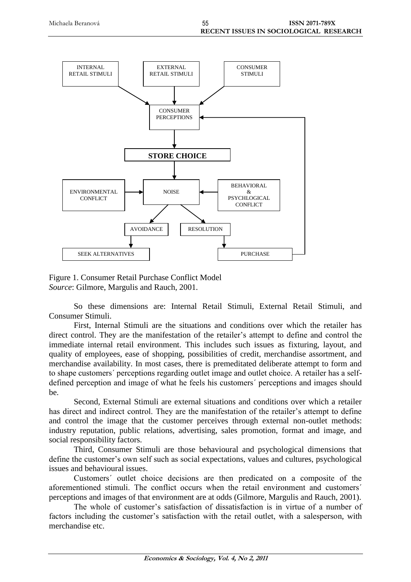

Figure 1. Consumer Retail Purchase Conflict Model *Source*: Gilmore, Margulis and Rauch, 2001.

So these dimensions are: Internal Retail Stimuli, External Retail Stimuli, and Consumer Stimuli.

First, Internal Stimuli are the situations and conditions over which the retailer has direct control. They are the manifestation of the retailer's attempt to define and control the immediate internal retail environment. This includes such issues as fixturing, layout, and quality of employees, ease of shopping, possibilities of credit, merchandise assortment, and merchandise availability. In most cases, there is premeditated deliberate attempt to form and to shape customers´ perceptions regarding outlet image and outlet choice. A retailer has a selfdefined perception and image of what he feels his customers´ perceptions and images should be.

Second, External Stimuli are external situations and conditions over which a retailer has direct and indirect control. They are the manifestation of the retailer's attempt to define and control the image that the customer perceives through external non-outlet methods: industry reputation, public relations, advertising, sales promotion, format and image, and social responsibility factors.

Third, Consumer Stimuli are those behavioural and psychological dimensions that define the customer's own self such as social expectations, values and cultures, psychological issues and behavioural issues.

Customers´ outlet choice decisions are then predicated on a composite of the aforementioned stimuli. The conflict occurs when the retail environment and customers´ perceptions and images of that environment are at odds (Gilmore, Margulis and Rauch, 2001).

The whole of customer's satisfaction of dissatisfaction is in virtue of a number of factors including the customer's satisfaction with the retail outlet, with a salesperson, with merchandise etc.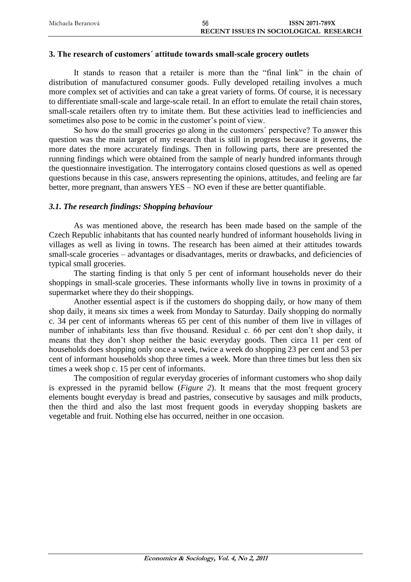| Michaela Beranová | 56 | <b>ISSN 2071-789X</b>                  |
|-------------------|----|----------------------------------------|
|                   |    | RECENT ISSUES IN SOCIOLOGICAL RESEARCH |

#### **3. The research of customers´ attitude towards small-scale grocery outlets**

It stands to reason that a retailer is more than the "final link" in the chain of distribution of manufactured consumer goods. Fully developed retailing involves a much more complex set of activities and can take a great variety of forms. Of course, it is necessary to differentiate small-scale and large-scale retail. In an effort to emulate the retail chain stores, small-scale retailers often try to imitate them. But these activities lead to inefficiencies and sometimes also pose to be comic in the customer's point of view.

So how do the small groceries go along in the customers´ perspective? To answer this question was the main target of my research that is still in progress because it governs, the more dates the more accurately findings. Then in following parts, there are presented the running findings which were obtained from the sample of nearly hundred informants through the questionnaire investigation. The interrogatory contains closed questions as well as opened questions because in this case, answers representing the opinions, attitudes, and feeling are far better, more pregnant, than answers YES – NO even if these are better quantifiable.

## *3.1. The research findings: Shopping behaviour*

As was mentioned above, the research has been made based on the sample of the Czech Republic inhabitants that has counted nearly hundred of informant households living in villages as well as living in towns. The research has been aimed at their attitudes towards small-scale groceries – advantages or disadvantages, merits or drawbacks, and deficiencies of typical small groceries.

The starting finding is that only 5 per cent of informant households never do their shoppings in small-scale groceries. These informants wholly live in towns in proximity of a supermarket where they do their shoppings.

Another essential aspect is if the customers do shopping daily, or how many of them shop daily, it means six times a week from Monday to Saturday. Daily shopping do normally c. 34 per cent of informants whereas 65 per cent of this number of them live in villages of number of inhabitants less than five thousand. Residual c. 66 per cent don't shop daily, it means that they don't shop neither the basic everyday goods. Then circa 11 per cent of households does shopping only once a week, twice a week do shopping 23 per cent and 53 per cent of informant households shop three times a week. More than three times but less then six times a week shop c. 15 per cent of informants.

The composition of regular everyday groceries of informant customers who shop daily is expressed in the pyramid bellow (*Figure 2*). It means that the most frequent grocery elements bought everyday is bread and pastries, consecutive by sausages and milk products, then the third and also the last most frequent goods in everyday shopping baskets are vegetable and fruit. Nothing else has occurred, neither in one occasion.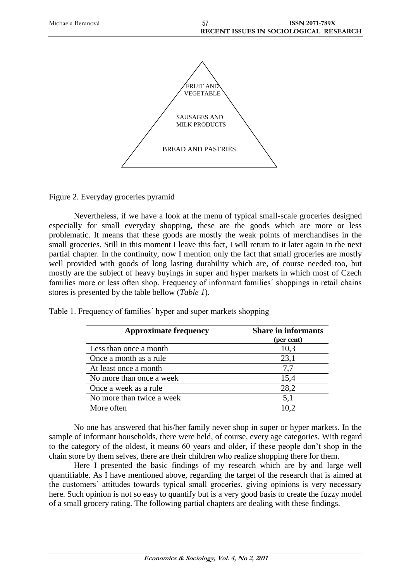

Figure 2. Everyday groceries pyramid

Nevertheless, if we have a look at the menu of typical small-scale groceries designed especially for small everyday shopping, these are the goods which are more or less problematic. It means that these goods are mostly the weak points of merchandises in the small groceries. Still in this moment I leave this fact, I will return to it later again in the next partial chapter. In the continuity, now I mention only the fact that small groceries are mostly well provided with goods of long lasting durability which are, of course needed too, but mostly are the subject of heavy buyings in super and hyper markets in which most of Czech families more or less often shop. Frequency of informant families´ shoppings in retail chains stores is presented by the table bellow (*Table 1*).

| <b>Approximate frequency</b> | <b>Share in informants</b><br>(per cent) |
|------------------------------|------------------------------------------|
| Less than once a month       | 10,3                                     |
| Once a month as a rule       | 23,1                                     |
| At least once a month        | 7.7                                      |
| No more than once a week     | 15,4                                     |
| Once a week as a rule        | 28,2                                     |
| No more than twice a week    | 5,1                                      |
| More often                   | 10.2                                     |

Table 1. Frequency of families´ hyper and super markets shopping

No one has answered that his/her family never shop in super or hyper markets. In the sample of informant households, there were held, of course, every age categories. With regard to the category of the oldest, it means 60 years and older, if these people don't shop in the chain store by them selves, there are their children who realize shopping there for them.

Here I presented the basic findings of my research which are by and large well quantifiable. As I have mentioned above, regarding the target of the research that is aimed at the customers´ attitudes towards typical small groceries, giving opinions is very necessary here. Such opinion is not so easy to quantify but is a very good basis to create the fuzzy model of a small grocery rating. The following partial chapters are dealing with these findings.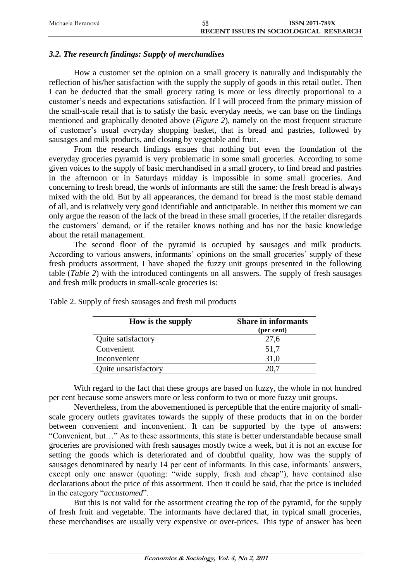| Michaela Beranová | 58 | <b>ISSN 2071-789X</b>                  |
|-------------------|----|----------------------------------------|
|                   |    | RECENT ISSUES IN SOCIOLOGICAL RESEARCH |

# *3.2. The research findings: Supply of merchandises*

How a customer set the opinion on a small grocery is naturally and indisputably the reflection of his/her satisfaction with the supply the supply of goods in this retail outlet. Then I can be deducted that the small grocery rating is more or less directly proportional to a customer's needs and expectations satisfaction. If I will proceed from the primary mission of the small-scale retail that is to satisfy the basic everyday needs, we can base on the findings mentioned and graphically denoted above (*Figure 2*), namely on the most frequent structure of customer's usual everyday shopping basket, that is bread and pastries, followed by sausages and milk products, and closing by vegetable and fruit.

From the research findings ensues that nothing but even the foundation of the everyday groceries pyramid is very problematic in some small groceries. According to some given voices to the supply of basic merchandised in a small grocery, to find bread and pastries in the afternoon or in Saturdays midday is impossible in some small groceries. And concerning to fresh bread, the words of informants are still the same: the fresh bread is always mixed with the old. But by all appearances, the demand for bread is the most stable demand of all, and is relatively very good identifiable and anticipatable. In neither this moment we can only argue the reason of the lack of the bread in these small groceries, if the retailer disregards the customers´ demand, or if the retailer knows nothing and has nor the basic knowledge about the retail management.

The second floor of the pyramid is occupied by sausages and milk products. According to various answers, informants´ opinions on the small groceries´ supply of these fresh products assortment, I have shaped the fuzzy unit groups presented in the following table (*Table 2*) with the introduced contingents on all answers. The supply of fresh sausages and fresh milk products in small-scale groceries is:

| How is the supply    | <b>Share in informants</b><br>(per cent) |
|----------------------|------------------------------------------|
| Quite satisfactory   | 27,6                                     |
| Convenient           | 51,7                                     |
| Inconvenient         | 31,0                                     |
| Quite unsatisfactory |                                          |

Table 2. Supply of fresh sausages and fresh mil products

With regard to the fact that these groups are based on fuzzy, the whole in not hundred per cent because some answers more or less conform to two or more fuzzy unit groups.

Nevertheless, from the abovementioned is perceptible that the entire majority of smallscale grocery outlets gravitates towards the supply of these products that in on the border between convenient and inconvenient. It can be supported by the type of answers: "Convenient, but…" As to these assortments, this state is better understandable because small groceries are provisioned with fresh sausages mostly twice a week, but it is not an excuse for setting the goods which is deteriorated and of doubtful quality, how was the supply of sausages denominated by nearly 14 per cent of informants. In this case, informants' answers, except only one answer (quoting: "wide supply, fresh and cheap"), have contained also declarations about the price of this assortment. Then it could be said, that the price is included in the category "*accustomed*".

But this is not valid for the assortment creating the top of the pyramid, for the supply of fresh fruit and vegetable. The informants have declared that, in typical small groceries, these merchandises are usually very expensive or over-prices. This type of answer has been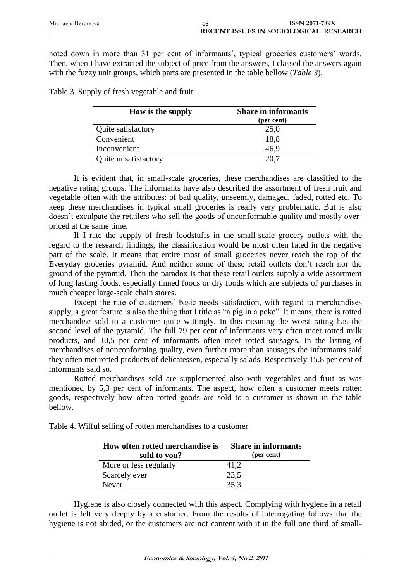| Michaela Beranová | 59 | <b>ISSN 2071-789X</b>                  |
|-------------------|----|----------------------------------------|
|                   |    | RECENT ISSUES IN SOCIOLOGICAL RESEARCH |

noted down in more than 31 per cent of informants´, typical groceries customers´ words. Then, when I have extracted the subject of price from the answers, I classed the answers again with the fuzzy unit groups, which parts are presented in the table bellow (*Table 3*).

Table 3. Supply of fresh vegetable and fruit

| How is the supply    | <b>Share in informants</b><br>(per cent) |
|----------------------|------------------------------------------|
| Quite satisfactory   | 25,0                                     |
| Convenient           | 18.8                                     |
| Inconvenient         | 46,9                                     |
| Quite unsatisfactory |                                          |

It is evident that, in small-scale groceries, these merchandises are classified to the negative rating groups. The informants have also described the assortment of fresh fruit and vegetable often with the attributes: of bad quality, unseemly, damaged, faded, rotted etc. To keep these merchandises in typical small groceries is really very problematic. But is also doesn't exculpate the retailers who sell the goods of unconformable quality and mostly overpriced at the same time.

If I rate the supply of fresh foodstuffs in the small-scale grocery outlets with the regard to the research findings, the classification would be most often fated in the negative part of the scale. It means that entire most of small groceries never reach the top of the Everyday groceries pyramid. And neither some of these retail outlets don't reach nor the ground of the pyramid. Then the paradox is that these retail outlets supply a wide assortment of long lasting foods, especially tinned foods or dry foods which are subjects of purchases in much cheaper large-scale chain stores.

Except the rate of customers´ basic needs satisfaction, with regard to merchandises supply, a great feature is also the thing that I title as "a pig in a poke". It means, there is rotted merchandise sold to a customer quite wittingly. In this meaning the worst rating has the second level of the pyramid. The full 79 per cent of informants very often meet rotted milk products, and 10,5 per cent of informants often meet rotted sausages. In the listing of merchandises of nonconforming quality, even further more than sausages the informants said they often met rotted products of delicatessen, especially salads. Respectively 15,8 per cent of informants said so.

Rotted merchandises sold are supplemented also with vegetables and fruit as was mentioned by 5,3 per cent of informants. The aspect, how often a customer meets rotten goods, respectively how often rotted goods are sold to a customer is shown in the table bellow.

| How often rotted merchandise is        | <b>Share in informants</b><br>(per cent) |
|----------------------------------------|------------------------------------------|
| sold to you?<br>More or less regularly | 41.2                                     |
| Scarcely ever                          | 23.5                                     |
| <b>Never</b>                           | 35,3                                     |

Table 4. Wilful selling of rotten merchandises to a customer

Hygiene is also closely connected with this aspect. Complying with hygiene in a retail outlet is felt very deeply by a customer. From the results of interrogating follows that the hygiene is not abided, or the customers are not content with it in the full one third of small-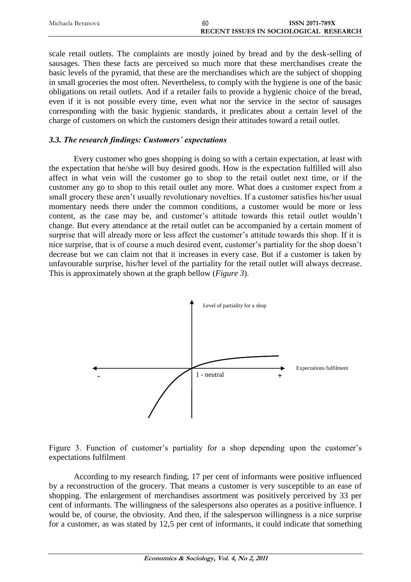| Michaela Beranová | 60 | <b>ISSN 2071-789X</b>                  |
|-------------------|----|----------------------------------------|
|                   |    | RECENT ISSUES IN SOCIOLOGICAL RESEARCH |

scale retail outlets. The complaints are mostly joined by bread and by the desk-selling of sausages. Then these facts are perceived so much more that these merchandises create the basic levels of the pyramid, that these are the merchandises which are the subject of shopping in small groceries the most often. Nevertheless, to comply with the hygiene is one of the basic obligations on retail outlets. And if a retailer fails to provide a hygienic choice of the bread, even if it is not possible every time, even what nor the service in the sector of sausages corresponding with the basic hygienic standards, it predicates about a certain level of the charge of customers on which the customers design their attitudes toward a retail outlet.

## *3.3. The research findings: Customers´ expectations*

Every customer who goes shopping is doing so with a certain expectation, at least with the expectation that he/she will buy desired goods. How is the expectation fulfilled will also affect in what vein will the customer go to shop to the retail outlet next time, or if the customer any go to shop to this retail outlet any more. What does a customer expect from a small grocery these aren't usually revolutionary novelties. If a customer satisfies his/her usual momentary needs there under the common conditions, a customer would be more or less content, as the case may be, and customer's attitude towards this retail outlet wouldn't change. But every attendance at the retail outlet can be accompanied by a certain moment of surprise that will already more or less affect the customer's attitude towards this shop. If it is nice surprise, that is of course a much desired event, customer's partiality for the shop doesn't decrease but we can claim not that it increases in every case. But if a customer is taken by unfavourable surprise, his/her level of the partiality for the retail outlet will always decrease. This is approximately shown at the graph bellow (*Figure 3*).





According to my research finding, 17 per cent of informants were positive influenced by a reconstruction of the grocery. That means a customer is very susceptible to an ease of shopping. The enlargement of merchandises assortment was positively perceived by 33 per cent of informants. The willingness of the salespersons also operates as a positive influence. I would be, of course, the obviosity. And then, if the salesperson willingness is a nice surprise for a customer, as was stated by 12,5 per cent of informants, it could indicate that something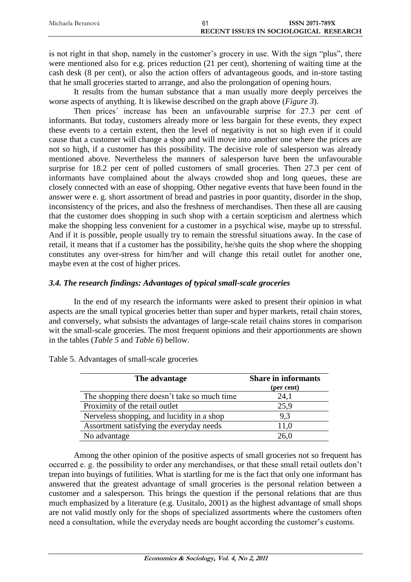| Michaela Beranová | <b>ISSN 2071-789X</b>                  |
|-------------------|----------------------------------------|
|                   | RECENT ISSUES IN SOCIOLOGICAL RESEARCH |

is not right in that shop, namely in the customer's grocery in use. With the sign "plus", there were mentioned also for e.g. prices reduction (21 per cent), shortening of waiting time at the cash desk (8 per cent), or also the action offers of advantageous goods, and in-store tasting that he small groceries started to arrange, and also the prolongation of opening hours.

It results from the human substance that a man usually more deeply perceives the worse aspects of anything. It is likewise described on the graph above (*Figure 3*).

Then prices´ increase has been an unfavourable surprise for 27.3 per cent of informants. But today, customers already more or less bargain for these events, they expect these events to a certain extent, then the level of negativity is not so high even if it could cause that a customer will change a shop and will move into another one where the prices are not so high, if a customer has this possibility. The decisive role of salesperson was already mentioned above. Nevertheless the manners of salesperson have been the unfavourable surprise for 18.2 per cent of polled customers of small groceries. Then 27.3 per cent of informants have complained about the always crowded shop and long queues, these are closely connected with an ease of shopping. Other negative events that have been found in the answer were e. g. short assortment of bread and pastries in poor quantity, disorder in the shop, inconsistency of the prices, and also the freshness of merchandises. Then these all are causing that the customer does shopping in such shop with a certain scepticism and alertness which make the shopping less convenient for a customer in a psychical wise, maybe up to stressful. And if it is possible, people usually try to remain the stressful situations away. In the case of retail, it means that if a customer has the possibility, he/she quits the shop where the shopping constitutes any over-stress for him/her and will change this retail outlet for another one, maybe even at the cost of higher prices.

# *3.4. The research findings: Advantages of typical small-scale groceries*

In the end of my research the informants were asked to present their opinion in what aspects are the small typical groceries better than super and hyper markets, retail chain stores, and conversely, what subsists the advantages of large-scale retail chains stores in comparison wit the small-scale groceries. The most frequent opinions and their apportionments are shown in the tables (*Table 5* and *Table 6*) bellow.

| The advantage                                | <b>Share in informants</b><br>(per cent) |
|----------------------------------------------|------------------------------------------|
| The shopping there doesn't take so much time | 24,1                                     |
| Proximity of the retail outlet               | 25,9                                     |
| Nerveless shopping, and lucidity in a shop   | 9.3                                      |
| Assortment satisfying the everyday needs     | 11,0                                     |
| No advantage                                 | 26.0                                     |

Table 5. Advantages of small-scale groceries

Among the other opinion of the positive aspects of small groceries not so frequent has occurred e. g. the possibility to order any merchandises, or that these small retail outlets don't trepan into buyings of futilities. What is startling for me is the fact that only one informant has answered that the greatest advantage of small groceries is the personal relation between a customer and a salesperson. This brings the question if the personal relations that are thus much emphasized by a literature (e.g. Uusitalo, 2001) as the highest advantage of small shops are not valid mostly only for the shops of specialized assortments where the customers often need a consultation, while the everyday needs are bought according the customer's customs.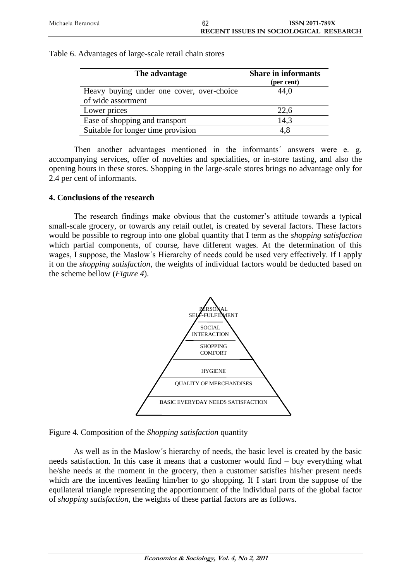| Table 6. Advantages of large-scale retail chain stores |
|--------------------------------------------------------|

| The advantage                             | <b>Share in informants</b><br>(per cent) |
|-------------------------------------------|------------------------------------------|
| Heavy buying under one cover, over-choice | 44,0                                     |
| of wide assortment                        |                                          |
| Lower prices                              | 22,6                                     |
| Ease of shopping and transport            | 14,3                                     |
| Suitable for longer time provision        | 4.8                                      |

Then another advantages mentioned in the informants' answers were e. g. accompanying services, offer of novelties and specialities, or in-store tasting, and also the opening hours in these stores. Shopping in the large-scale stores brings no advantage only for 2.4 per cent of informants.

# **4. Conclusions of the research**

The research findings make obvious that the customer's attitude towards a typical small-scale grocery, or towards any retail outlet, is created by several factors. These factors would be possible to regroup into one global quantity that I term as the *shopping satisfaction* which partial components, of course, have different wages. At the determination of this wages, I suppose, the Maslow´s Hierarchy of needs could be used very effectively. If I apply it on the *shopping satisfaction*, the weights of individual factors would be deducted based on the scheme bellow (*Figure 4*).



Figure 4. Composition of the *Shopping satisfaction* quantity

As well as in the Maslow´s hierarchy of needs, the basic level is created by the basic needs satisfaction. In this case it means that a customer would find – buy everything what he/she needs at the moment in the grocery, then a customer satisfies his/her present needs which are the incentives leading him/her to go shopping. If I start from the suppose of the equilateral triangle representing the apportionment of the individual parts of the global factor of *shopping satisfaction*, the weights of these partial factors are as follows.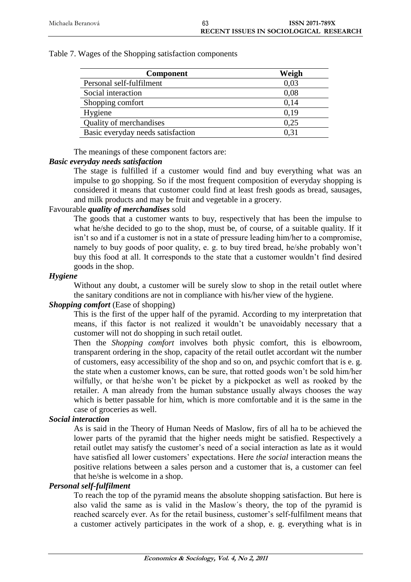| <b>Component</b>                  | Weigh |
|-----------------------------------|-------|
| Personal self-fulfilment          | 0,03  |
| Social interaction                | 0,08  |
| Shopping comfort                  | 0.14  |
| Hygiene                           | 0.19  |
| Quality of merchandises           | 0.25  |
| Basic everyday needs satisfaction | 0.31  |

The meanings of these component factors are:

# *Basic everyday needs satisfaction*

The stage is fulfilled if a customer would find and buy everything what was an impulse to go shopping. So if the most frequent composition of everyday shopping is considered it means that customer could find at least fresh goods as bread, sausages, and milk products and may be fruit and vegetable in a grocery.

# Favourable *quality of merchandises* sold

The goods that a customer wants to buy, respectively that has been the impulse to what he/she decided to go to the shop, must be, of course, of a suitable quality. If it isn't so and if a customer is not in a state of pressure leading him/her to a compromise, namely to buy goods of poor quality, e. g. to buy tired bread, he/she probably won't buy this food at all. It corresponds to the state that a customer wouldn't find desired goods in the shop.

# *Hygiene*

Without any doubt, a customer will be surely slow to shop in the retail outlet where the sanitary conditions are not in compliance with his/her view of the hygiene.

# *Shopping comfort* (Ease of shopping)

This is the first of the upper half of the pyramid. According to my interpretation that means, if this factor is not realized it wouldn't be unavoidably necessary that a customer will not do shopping in such retail outlet.

Then the *Shopping comfort* involves both physic comfort, this is elbowroom, transparent ordering in the shop, capacity of the retail outlet accordant wit the number of customers, easy accessibility of the shop and so on, and psychic comfort that is e. g. the state when a customer knows, can be sure, that rotted goods won't be sold him/her wilfully, or that he/she won't be picket by a pickpocket as well as rooked by the retailer. A man already from the human substance usually always chooses the way which is better passable for him, which is more comfortable and it is the same in the case of groceries as well.

## *Social interaction*

As is said in the Theory of Human Needs of Maslow, firs of all ha to be achieved the lower parts of the pyramid that the higher needs might be satisfied. Respectively a retail outlet may satisfy the customer's need of a social interaction as late as it would have satisfied all lower customers' expectations. Here *the social* interaction means the positive relations between a sales person and a customer that is, a customer can feel that he/she is welcome in a shop.

## *Personal self-fulfilment*

To reach the top of the pyramid means the absolute shopping satisfaction. But here is also valid the same as is valid in the Maslow´s theory, the top of the pyramid is reached scarcely ever. As for the retail business, customer's self-fulfilment means that a customer actively participates in the work of a shop, e. g. everything what is in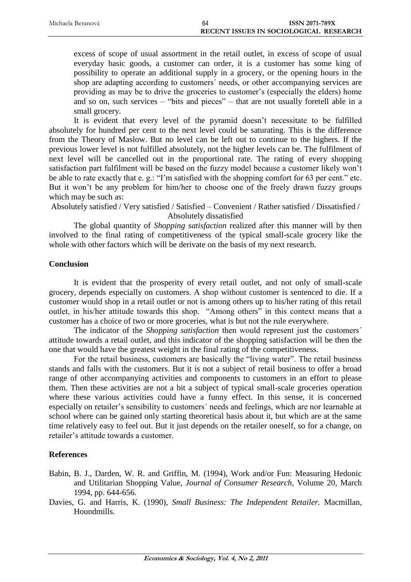| Michaela Beranová | 64                                     | <b>ISSN 2071-789X</b> |
|-------------------|----------------------------------------|-----------------------|
|                   | RECENT ISSUES IN SOCIOLOGICAL RESEARCH |                       |

excess of scope of usual assortment in the retail outlet, in excess of scope of usual everyday basic goods, a customer can order, it is a customer has some king of possibility to operate an additional supply in a grocery, or the opening hours in the shop are adapting according to customers´ needs, or other accompanying services are providing as may be to drive the groceries to customer's (especially the elders) home and so on, such services – "bits and pieces" – that are not usually foretell able in a small grocery.

It is evident that every level of the pyramid doesn't necessitate to be fulfilled absolutely for hundred per cent to the next level could be saturating. This is the difference from the Theory of Maslow. But no level can be left out to continue to the highers. If the previous lower level is not fulfilled absolutely, not the higher levels can be. The fulfilment of next level will be cancelled out in the proportional rate. The rating of every shopping satisfaction part fulfilment will be based on the fuzzy model because a customer likely won't be able to rate exactly that e. g.: "I'm satisfied with the shopping comfort for 63 per cent." etc. But it won't be any problem for him/her to choose one of the freely drawn fuzzy groups which may be such as:

Absolutely satisfied / Very satisfied / Satisfied – Convenient / Rather satisfied / Dissatisfied / Absolutely dissatisfied

The global quantity of *Shopping satisfaction* realized after this manner will by then involved to the final rating of competitiveness of the typical small-scale grocery like the whole with other factors which will be derivate on the basis of my next research.

## **Conclusion**

It is evident that the prosperity of every retail outlet, and not only of small-scale grocery, depends especially on customers. A shop without customer is sentenced to die. If a customer would shop in a retail outlet or not is among others up to his/her rating of this retail outlet, in his/her attitude towards this shop. "Among others" in this context means that a customer has a choice of two or more groceries, what is but not the rule everywhere.

The indicator of the *Shopping satisfaction* then would represent just the customers´ attitude towards a retail outlet, and this indicator of the shopping satisfaction will be then the one that would have the greatest weight in the final rating of the competitiveness.

For the retail business, customers are basically the "living water". The retail business stands and falls with the customers. But it is not a subject of retail business to offer a broad range of other accompanying activities and components to customers in an effort to please them. Then these activities are not a bit a subject of typical small-scale groceries operation where these various activities could have a funny effect. In this sense, it is concerned especially on retailer's sensibility to customers´ needs and feelings, which are nor learnable at school where can be gained only starting theoretical basis about it, but which are at the same time relatively easy to feel out. But it just depends on the retailer oneself, so for a change, on retailer's attitude towards a customer.

# **References**

- Babin, B. J., Darden, W. R. and Griffin, M. (1994), Work and/or Fun: Measuring Hedonic and Utilitarian Shopping Value, *Journal of Consumer Research*, Volume 20, March 1994, pp. 644-656.
- Davies, G. and Harris, K. (1990), *Small Business: The Independent Retailer.* Macmillan, Houndmills.